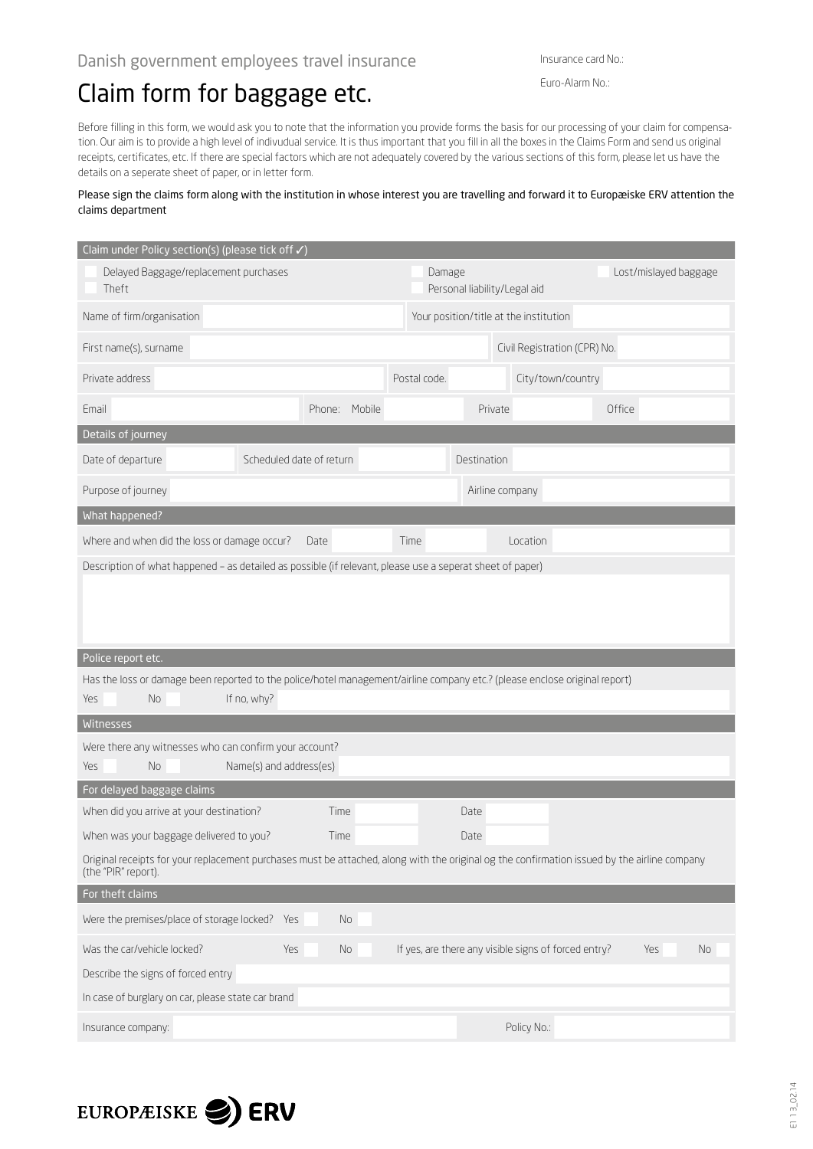## Claim form for baggage etc.

Euro-Alarm No.:

Before filling in this form, we would ask you to note that the information you provide forms the basis for our processing of your claim for compensation. Our aim is to provide a high level of indivudual service. It is thus important that you fill in all the boxes in the Claims Form and send us original receipts, certificates, etc. If there are special factors which are not adequately covered by the various sections of this form, please let us have the details on a seperate sheet of paper, or in letter form.

## Please sign the claims form along with the institution in whose interest you are travelling and forward it to Europæiske ERV attention the claims department

| Claim under Policy section(s) (please tick off √)                                                                                                                   |                          |                 |                                        |                              |        |  |  |
|---------------------------------------------------------------------------------------------------------------------------------------------------------------------|--------------------------|-----------------|----------------------------------------|------------------------------|--------|--|--|
| Delayed Baggage/replacement purchases<br>Theft                                                                                                                      |                          | Damage          | Personal liability/Legal aid           | Lost/mislayed baggage        |        |  |  |
| Name of firm/organisation                                                                                                                                           |                          |                 | Your position/title at the institution |                              |        |  |  |
| First name(s), surname                                                                                                                                              |                          |                 |                                        | Civil Registration (CPR) No. |        |  |  |
| Private address                                                                                                                                                     |                          | Postal code.    |                                        | City/town/country            |        |  |  |
| Email                                                                                                                                                               | Mobile<br>Phone:         |                 | Private                                |                              | Office |  |  |
| Details of journey                                                                                                                                                  |                          |                 |                                        |                              |        |  |  |
| Date of departure                                                                                                                                                   | Scheduled date of return |                 | Destination                            |                              |        |  |  |
| Purpose of journey                                                                                                                                                  |                          | Airline company |                                        |                              |        |  |  |
| What happened?                                                                                                                                                      |                          |                 |                                        |                              |        |  |  |
| Where and when did the loss or damage occur?                                                                                                                        | Date                     | Time            |                                        | Location                     |        |  |  |
| Description of what happened - as detailed as possible (if relevant, please use a seperat sheet of paper)                                                           |                          |                 |                                        |                              |        |  |  |
|                                                                                                                                                                     |                          |                 |                                        |                              |        |  |  |
| Police report etc.                                                                                                                                                  |                          |                 |                                        |                              |        |  |  |
| Has the loss or damage been reported to the police/hotel management/airline company etc.? (please enclose original report)<br>No<br>If no, why?<br>Yes              |                          |                 |                                        |                              |        |  |  |
| Witnesses                                                                                                                                                           |                          |                 |                                        |                              |        |  |  |
| Were there any witnesses who can confirm your account?                                                                                                              |                          |                 |                                        |                              |        |  |  |
| Name(s) and address(es)<br>Yes<br>No.                                                                                                                               |                          |                 |                                        |                              |        |  |  |
| For delayed baggage claims                                                                                                                                          |                          |                 |                                        |                              |        |  |  |
| When did you arrive at your destination?                                                                                                                            | Time                     |                 | Date                                   |                              |        |  |  |
| When was your baggage delivered to you?                                                                                                                             | Time                     |                 | Date                                   |                              |        |  |  |
| Original receipts for your replacement purchases must be attached, along with the original og the confirmation issued by the airline company<br>(the "PIR" report). |                          |                 |                                        |                              |        |  |  |
| For theft claims                                                                                                                                                    |                          |                 |                                        |                              |        |  |  |
| Were the premises/place of storage locked? Yes                                                                                                                      | No                       |                 |                                        |                              |        |  |  |
| Was the car/vehicle locked?<br>If yes, are there any visible signs of forced entry?<br>Yes<br>No<br>Yes<br>No                                                       |                          |                 |                                        |                              |        |  |  |
| Describe the signs of forced entry                                                                                                                                  |                          |                 |                                        |                              |        |  |  |
| In case of burglary on car, please state car brand                                                                                                                  |                          |                 |                                        |                              |        |  |  |
| Insurance company:                                                                                                                                                  |                          |                 |                                        | Policy No.:                  |        |  |  |